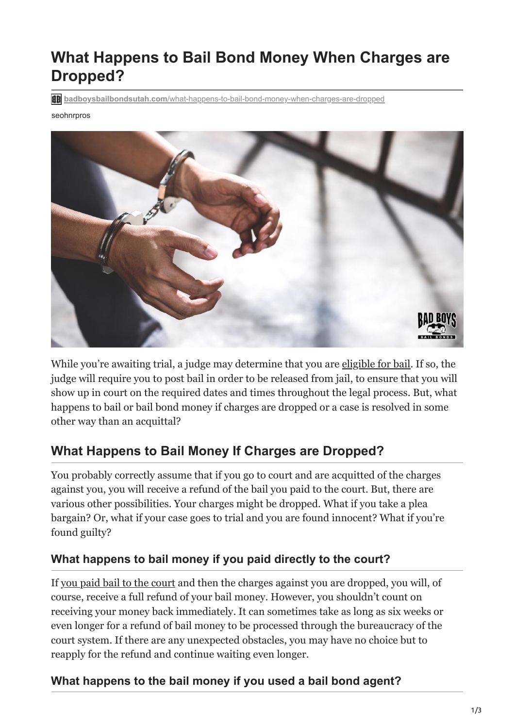# **What Happens to Bail Bond Money When Charges are Dropped?**

**badboysbailbondsutah.com**[/what-happens-to-bail-bond-money-when-charges-are-dropped](https://badboysbailbondsutah.com/what-happens-to-bail-bond-money-when-charges-are-dropped/)

#### seohnrpros



While you're awaiting trial, a judge may determine that you are [eligible for bail.](https://badboysbailbondsutah.com/are-you-eligible-for-bail/) If so, the judge will require you to post bail in order to be released from jail, to ensure that you will show up in court on the required dates and times throughout the legal process. But, what happens to bail or bail bond money if charges are dropped or a case is resolved in some other way than an acquittal?

# **What Happens to Bail Money If Charges are Dropped?**

You probably correctly assume that if you go to court and are acquitted of the charges against you, you will receive a refund of the bail you paid to the court. But, there are various other possibilities. Your charges might be dropped. What if you take a plea bargain? Or, what if your case goes to trial and you are found innocent? What if you're found guilty?

#### **What happens to bail money if you paid directly to the court?**

If [you paid bail to the court](https://badboysbailbondsutah.com/can-you-bail-yourself-out-of-jail/) and then the charges against you are dropped, you will, of course, receive a full refund of your bail money. However, you shouldn't count on receiving your money back immediately. It can sometimes take as long as six weeks or even longer for a refund of bail money to be processed through the bureaucracy of the court system. If there are any unexpected obstacles, you may have no choice but to reapply for the refund and continue waiting even longer.

#### **What happens to the bail money if you used a bail bond agent?**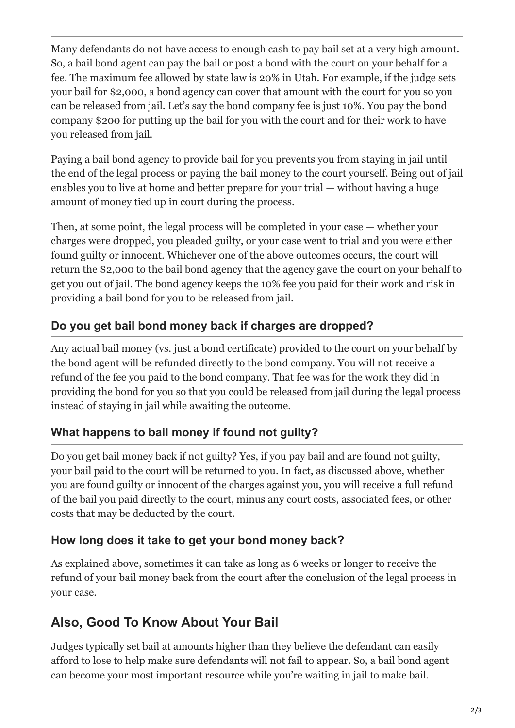Many defendants do not have access to enough cash to pay bail set at a very high amount. So, a bail bond agent can pay the bail or post a bond with the court on your behalf for a fee. The maximum fee allowed by state law is 20% in Utah. For example, if the judge sets your bail for \$2,000, a bond agency can cover that amount with the court for you so you can be released from jail. Let's say the bond company fee is just 10%. You pay the bond company \$200 for putting up the bail for you with the court and for their work to have you released from jail.

Paying a bail bond agency to provide bail for you prevents you from [staying in jail](https://badboysbailbondsutah.com/4-risks-of-staying-in-jail-until-your-court-hearing/) until the end of the legal process or paying the bail money to the court yourself. Being out of jail enables you to live at home and better prepare for your trial — without having a huge amount of money tied up in court during the process.

Then, at some point, the legal process will be completed in your case — whether your charges were dropped, you pleaded guilty, or your case went to trial and you were either found guilty or innocent. Whichever one of the above outcomes occurs, the court will return the \$2,000 to the [bail bond agency](https://badboysbailbondsutah.com/8-things-to-look-for-when-choosing-a-bail-bonds-company/) that the agency gave the court on your behalf to get you out of jail. The bond agency keeps the 10% fee you paid for their work and risk in providing a bail bond for you to be released from jail.

### **Do you get bail bond money back if charges are dropped?**

Any actual bail money (vs. just a bond certificate) provided to the court on your behalf by the bond agent will be refunded directly to the bond company. You will not receive a refund of the fee you paid to the bond company. That fee was for the work they did in providing the bond for you so that you could be released from jail during the legal process instead of staying in jail while awaiting the outcome.

## **What happens to bail money if found not guilty?**

Do you get bail money back if not guilty? Yes, if you pay bail and are found not guilty, your bail paid to the court will be returned to you. In fact, as discussed above, whether you are found guilty or innocent of the charges against you, you will receive a full refund of the bail you paid directly to the court, minus any court costs, associated fees, or other costs that may be deducted by the court.

### **How long does it take to get your bond money back?**

As explained above, sometimes it can take as long as 6 weeks or longer to receive the refund of your bail money back from the court after the conclusion of the legal process in your case.

# **Also, Good To Know About Your Bail**

Judges typically set bail at amounts higher than they believe the defendant can easily afford to lose to help make sure defendants will not fail to appear. So, a bail bond agent can become your most important resource while you're waiting in jail to make bail.